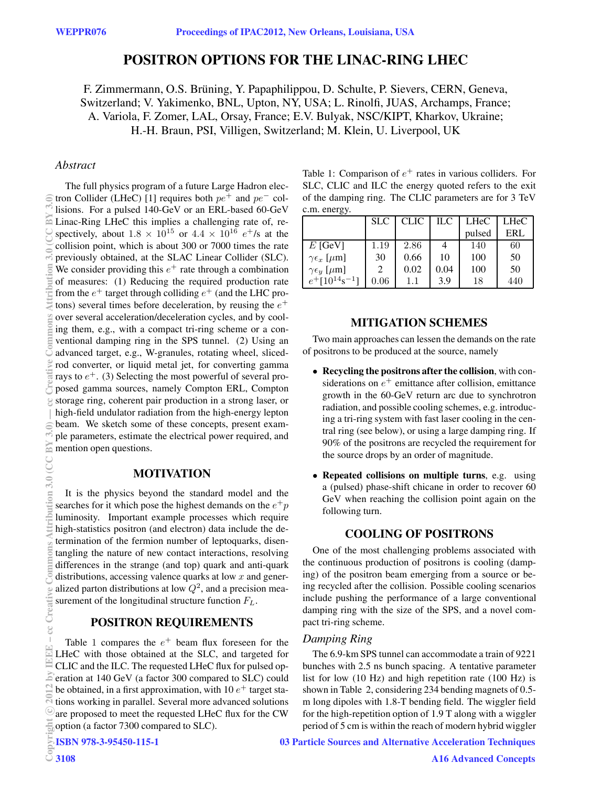# **POSITRON OPTIONS FOR THE LINAC-RING LHEC**

F. Zimmermann, O.S. Brüning, Y. Papaphilippou, D. Schulte, P. Sievers, CERN, Geneva, Switzerland; V. Yakimenko, BNL, Upton, NY, USA; L. Rinolfi, JUAS, Archamps, France; A. Variola, F. Zomer, LAL, Orsay, France; E.V. Bulyak, NSC/KIPT, Kharkov, Ukraine; H.-H. Braun, PSI, Villigen, Switzerland; M. Klein, U. Liverpool, UK

### *Abstract*

The full physics program of a future Large Hadron electron Collider (LHeC) [1] requires both  $pe^+$  and  $pe^-$  collisions. For a pulsed 140-GeV or an ERL-based 60-GeV Linac-Ring LHeC this implies a challenging rate of, respectively, about  $1.8 \times 10^{15}$  or  $4.4 \times 10^{16}$  e<sup>+</sup>/s at the collision point, which is about 300 or 7000 times the rate previously obtained, at the SLAC Linear Collider (SLC). We consider providing this  $e^+$  rate through a combination of measures: (1) Reducing the required production rate from the  $e^+$  target through colliding  $e^+$  (and the LHC protons) several times before deceleration, by reusing the  $e^+$ over several acceleration/deceleration cycles, and by cooling them, e.g., with a compact tri-ring scheme or a conventional damping ring in the SPS tunnel. (2) Using an advanced target, e.g., W-granules, rotating wheel, slicedrod converter, or liquid metal jet, for converting gamma rays to  $e^+$ . (3) Selecting the most powerful of several proposed gamma sources, namely Compton ERL, Compton storage ring, coherent pair production in a strong laser, or high-field undulator radiation from the high-energy lepton beam. We sketch some of these concepts, present example parameters, estimate the electrical power required, and mention open questions.

### **MOTIVATION**

It is the physics beyond the standard model and the searches for it which pose the highest demands on the  $e^+p$ luminosity. Important example processes which require high-statistics positron (and electron) data include the determination of the fermion number of leptoquarks, disentangling the nature of new contact interactions, resolving differences in the strange (and top) quark and anti-quark distributions, accessing valence quarks at low  $x$  and generalized parton distributions at low  $Q^2$ , and a precision measurement of the longitudinal structure function  $F<sub>L</sub>$ .

## **POSITRON REQUIREMENTS**

Table 1 compares the  $e^+$  beam flux foreseen for the LHeC with those obtained at the SLC, and targeted for CLIC and the ILC. The requested LHeC flux for pulsed operation at 140 GeV (a factor 300 compared to SLC) could be obtained, in a first approximation, with 10  $e^+$  target stations working in parallel. Several more advanced solutions are proposed to meet the requested LHeC flux for the CW option (a factor 7300 compared to SLC).

```
ISBN 978-3-95450-115-1
```
Table 1: Comparison of  $e^+$  rates in various colliders. For SLC, CLIC and ILC the energy quoted refers to the exit of the damping ring. The CLIC parameters are for 3 TeV c.m. energy.

|                                           | <b>SLC</b>                  | <b>CLIC</b> | ILC  | <b>LHeC</b> | <b>LHeC</b> |
|-------------------------------------------|-----------------------------|-------------|------|-------------|-------------|
|                                           |                             |             |      | pulsed      | ERL         |
| $E$ [GeV]                                 | 1.19                        | 2.86        |      | 140         | 60          |
| $\gamma \epsilon_x$ [ $\mu$ m]            | 30                          | 0.66        | 10   | 100         | 50          |
| $\gamma \epsilon_y$ [ $\mu$ m]            | $\mathcal{D}_{\mathcal{L}}$ | 0.02        | 0.04 | 100         | 50          |
| $e^+$ [10 <sup>14</sup> s <sup>-1</sup> ] | 0.06                        | $1.1\,$     | 3.9  | 18          | 440         |

## **MITIGATION SCHEMES**

Two main approaches can lessen the demands on the rate of positrons to be produced at the source, namely

- **Recycling the positrons after the collision**, with considerations on  $e^+$  emittance after collision, emittance growth in the 60-GeV return arc due to synchrotron radiation, and possible cooling schemes, e.g. introducing a tri-ring system with fast laser cooling in the central ring (see below), or using a large damping ring. If 90% of the positrons are recycled the requirement for the source drops by an order of magnitude.
- **Repeated collisions on multiple turns**, e.g. using a (pulsed) phase-shift chicane in order to recover 60 GeV when reaching the collision point again on the following turn.

### **COOLING OF POSITRONS**

One of the most challenging problems associated with the continuous production of positrons is cooling (damping) of the positron beam emerging from a source or being recycled after the collision. Possible cooling scenarios include pushing the performance of a large conventional damping ring with the size of the SPS, and a novel compact tri-ring scheme.

### *Damping Ring*

The 6.9-km SPS tunnel can accommodate a train of 9221 bunches with 2.5 ns bunch spacing. A tentative parameter list for low (10 Hz) and high repetition rate (100 Hz) is shown in Table 2, considering 234 bending magnets of 0.5 m long dipoles with 1.8-T bending field. The wiggler field for the high-repetition option of 1.9 T along with a wiggler period of 5 cm is within the reach of modern hybrid wiggler

03 Particle Sources and Alternative Acceleration Techniques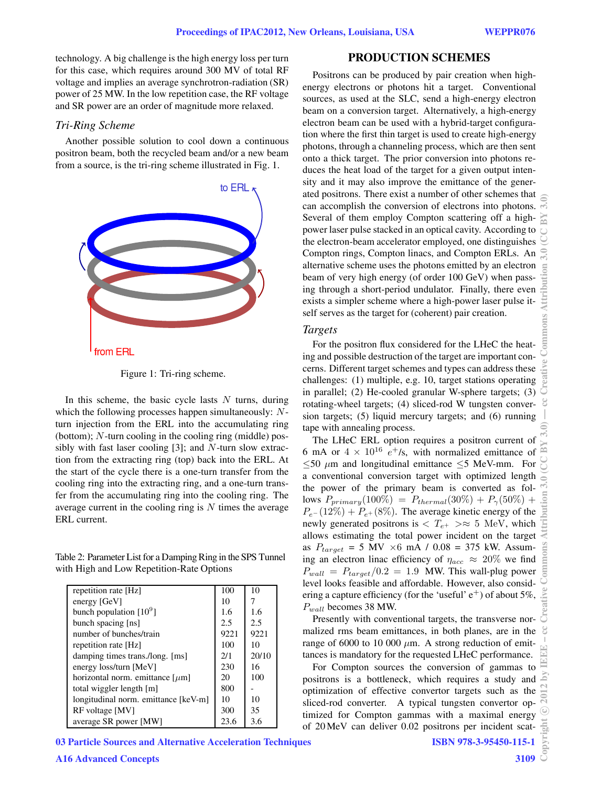technology. A big challenge is the high energy loss per turn for this case, which requires around 300 MV of total RF voltage and implies an average synchrotron-radiation (SR) power of 25 MW. In the low repetition case, the RF voltage and SR power are an order of magnitude more relaxed.

#### *Tri-Ring Scheme*

Another possible solution to cool down a continuous positron beam, both the recycled beam and/or a new beam from a source, is the tri-ring scheme illustrated in Fig. 1.



Figure 1: Tri-ring scheme.

In this scheme, the basic cycle lasts  $N$  turns, during which the following processes happen simultaneously: Nturn injection from the ERL into the accumulating ring (bottom); N-turn cooling in the cooling ring (middle) possibly with fast laser cooling  $[3]$ ; and N-turn slow extraction from the extracting ring (top) back into the ERL. At the start of the cycle there is a one-turn transfer from the cooling ring into the extracting ring, and a one-turn transfer from the accumulating ring into the cooling ring. The average current in the cooling ring is  $N$  times the average ERL current.

Table 2: Parameter List for a Damping Ring in the SPS Tunnel with High and Low Repetition-Rate Options

| repetition rate [Hz]                 | 100  | 10    |
|--------------------------------------|------|-------|
| energy [GeV]                         | 10   |       |
| bunch population $[10^9]$            | 1.6  | 1.6   |
| bunch spacing [ns]                   | 2.5  | 2.5   |
| number of bunches/train              | 9221 | 9221  |
| repetition rate [Hz]                 | 100  | 10    |
| damping times trans./long. [ms]      | 2/1  | 20/10 |
| energy loss/turn [MeV]               | 230  | 16    |
| horizontal norm. emittance $[\mu m]$ | 20   | 100   |
| total wiggler length [m]             | 800  |       |
| longitudinal norm. emittance [keV-m] | 10   | 10    |
| RF voltage [MV]                      | 300  | 35    |
| average SR power [MW]                | 23.6 | 3.6   |

## 03 Particle Sources and Alternative Acceleration Techniques

Positrons can be produced by pair creation when highenergy electrons or photons hit a target. Conventional sources, as used at the SLC, send a high-energy electron beam on a conversion target. Alternatively, a high-energy electron beam can be used with a hybrid-target configuration where the first thin target is used to create high-energy photons, through a channeling process, which are then sent onto a thick target. The prior conversion into photons reduces the heat load of the target for a given output intensity and it may also improve the emittance of the generated positrons. There exist a number of other schemes that can accomplish the conversion of electrons into photons. Several of them employ Compton scattering off a highpower laser pulse stacked in an optical cavity. According to the electron-beam accelerator employed, one distinguishes Compton rings, Compton linacs, and Compton ERLs. An alternative scheme uses the photons emitted by an electron beam of very high energy (of order 100 GeV) when passing through a short-period undulator. Finally, there even exists a simpler scheme where a high-power laser pulse itself serves as the target for (coherent) pair creation.

### *Targets*

For the positron flux considered for the LHeC the heating and possible destruction of the target are important concerns. Different target schemes and types can address these challenges: (1) multiple, e.g. 10, target stations operating in parallel; (2) He-cooled granular W-sphere targets; (3) rotating-wheel targets; (4) sliced-rod W tungsten conversion targets; (5) liquid mercury targets; and (6) running tape with annealing process.

The LHeC ERL option requires a positron current of 6 mA or  $4 \times 10^{16}$  e<sup>+</sup>/s, with normalized emittance of  $\leq$ 50  $\mu$ m and longitudinal emittance  $\leq$ 5 MeV-mm. For a conventional conversion target with optimized length the power of the primary beam is converted as follows  $P_{primary}(100\%) = P_{thermal}(30\%) + P_{\gamma}(50\%) +$  $P_{e}$ − (12%) +  $P_{e}$ + (8%). The average kinetic energy of the newly generated positrons is  $\langle T_{e^+} \rangle \approx 5$  MeV, which allows estimating the total power incident on the target as  $P_{target} = 5 \text{ MV} \times 6 \text{ mA} / 0.08 = 375 \text{ kW}$ . Assuming an electron linac efficiency of  $\eta_{acc} \approx 20\%$  we find  $P_{wall} = P_{target}/0.2 = 1.9$  MW. This wall-plug power level looks feasible and affordable. However, also considering a capture efficiency (for the 'useful'  $e^+$ ) of about 5%,  $P_{wall}$  becomes 38 MW.

Presently with conventional targets, the transverse normalized rms beam emittances, in both planes, are in the range of 6000 to 10 000  $\mu$ m. A strong reduction of emittances is mandatory for the requested LHeC performance.

For Compton sources the conversion of gammas to positrons is a bottleneck, which requires a study and optimization of effective convertor targets such as the sliced-rod converter. A typical tungsten convertor optimized for Compton gammas with a maximal energy of 20 MeV can deliver 0.02 positrons per incident scat-